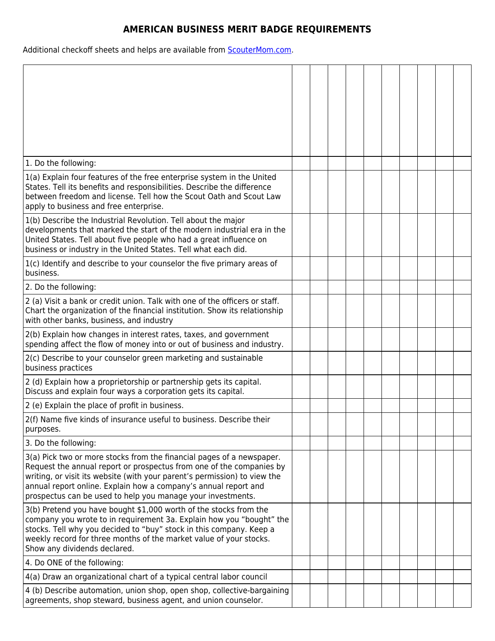## **AMERICAN BUSINESS MERIT BADGE REQUIREMENTS**

Additional checkoff sheets and helps are available from **ScouterMom.com**.

| 1. Do the following:                                                                                                                                                                                                                                                                                                                                         |  |  |  |  |  |
|--------------------------------------------------------------------------------------------------------------------------------------------------------------------------------------------------------------------------------------------------------------------------------------------------------------------------------------------------------------|--|--|--|--|--|
| 1(a) Explain four features of the free enterprise system in the United<br>States. Tell its benefits and responsibilities. Describe the difference<br>between freedom and license. Tell how the Scout Oath and Scout Law<br>apply to business and free enterprise.                                                                                            |  |  |  |  |  |
| 1(b) Describe the Industrial Revolution. Tell about the major<br>developments that marked the start of the modern industrial era in the<br>United States. Tell about five people who had a great influence on<br>business or industry in the United States. Tell what each did.                                                                              |  |  |  |  |  |
| 1(c) Identify and describe to your counselor the five primary areas of<br>business.                                                                                                                                                                                                                                                                          |  |  |  |  |  |
| 2. Do the following:                                                                                                                                                                                                                                                                                                                                         |  |  |  |  |  |
| 2 (a) Visit a bank or credit union. Talk with one of the officers or staff.<br>Chart the organization of the financial institution. Show its relationship<br>with other banks, business, and industry                                                                                                                                                        |  |  |  |  |  |
| 2(b) Explain how changes in interest rates, taxes, and government<br>spending affect the flow of money into or out of business and industry.                                                                                                                                                                                                                 |  |  |  |  |  |
| 2(c) Describe to your counselor green marketing and sustainable<br>business practices                                                                                                                                                                                                                                                                        |  |  |  |  |  |
| 2 (d) Explain how a proprietorship or partnership gets its capital.<br>Discuss and explain four ways a corporation gets its capital.                                                                                                                                                                                                                         |  |  |  |  |  |
| 2 (e) Explain the place of profit in business.                                                                                                                                                                                                                                                                                                               |  |  |  |  |  |
| 2(f) Name five kinds of insurance useful to business. Describe their<br>purposes.                                                                                                                                                                                                                                                                            |  |  |  |  |  |
| 3. Do the following:                                                                                                                                                                                                                                                                                                                                         |  |  |  |  |  |
| 3(a) Pick two or more stocks from the financial pages of a newspaper.<br>Request the annual report or prospectus from one of the companies by<br>writing, or visit its website (with your parent's permission) to view the<br>annual report online. Explain how a company's annual report and<br>prospectus can be used to help you manage your investments. |  |  |  |  |  |
| 3(b) Pretend you have bought \$1,000 worth of the stocks from the<br>company you wrote to in requirement 3a. Explain how you "bought" the<br>stocks. Tell why you decided to "buy" stock in this company. Keep a<br>weekly record for three months of the market value of your stocks.<br>Show any dividends declared.                                       |  |  |  |  |  |
| 4. Do ONE of the following:                                                                                                                                                                                                                                                                                                                                  |  |  |  |  |  |
| 4(a) Draw an organizational chart of a typical central labor council                                                                                                                                                                                                                                                                                         |  |  |  |  |  |
| 4 (b) Describe automation, union shop, open shop, collective-bargaining<br>agreements, shop steward, business agent, and union counselor.                                                                                                                                                                                                                    |  |  |  |  |  |